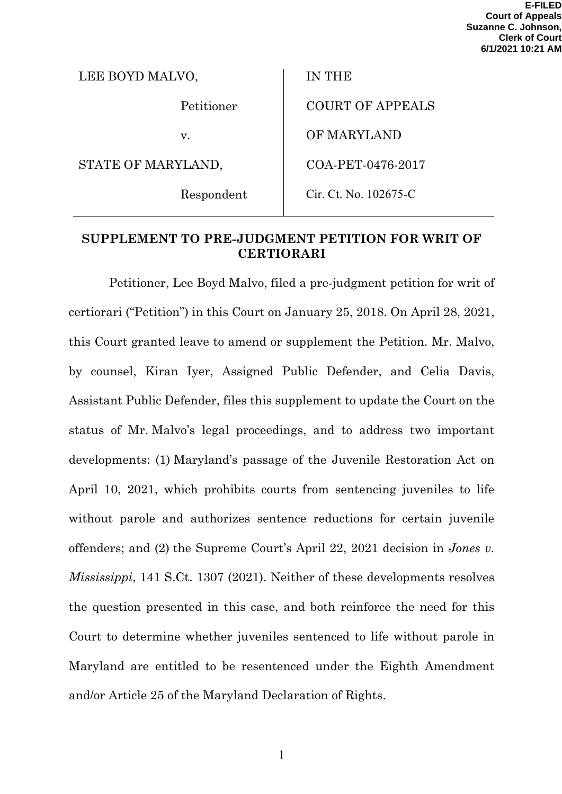| LEE BOYD MALVO,    | <b>IN THE</b>           |
|--------------------|-------------------------|
| Petitioner         | <b>COURT OF APPEALS</b> |
| $V_{\cdot}$        | OF MARYLAND             |
| STATE OF MARYLAND, | COA-PET-0476-2017       |
| Respondent         | Cir. Ct. No. 102675-C   |

### **SUPPLEMENT TO PRE-JUDGMENT PETITION FOR WRIT OF CERTIORARI**

Petitioner, Lee Boyd Malvo, filed a pre-judgment petition for writ of certiorari ("Petition") in this Court on January 25, 2018. On April 28, 2021, this Court granted leave to amend or supplement the Petition. Mr. Malvo, by counsel, Kiran Iyer, Assigned Public Defender, and Celia Davis, Assistant Public Defender, files this supplement to update the Court on the status of Mr. Malvo's legal proceedings, and to address two important developments: (1) Maryland's passage of the Juvenile Restoration Act on April 10, 2021, which prohibits courts from sentencing juveniles to life without parole and authorizes sentence reductions for certain juvenile offenders; and (2) the Supreme Court's April 22, 2021 decision in *Jones v. Mississippi*, 141 S.Ct. 1307 (2021). Neither of these developments resolves the question presented in this case, and both reinforce the need for this Court to determine whether juveniles sentenced to life without parole in Maryland are entitled to be resentenced under the Eighth Amendment and/or Article 25 of the Maryland Declaration of Rights.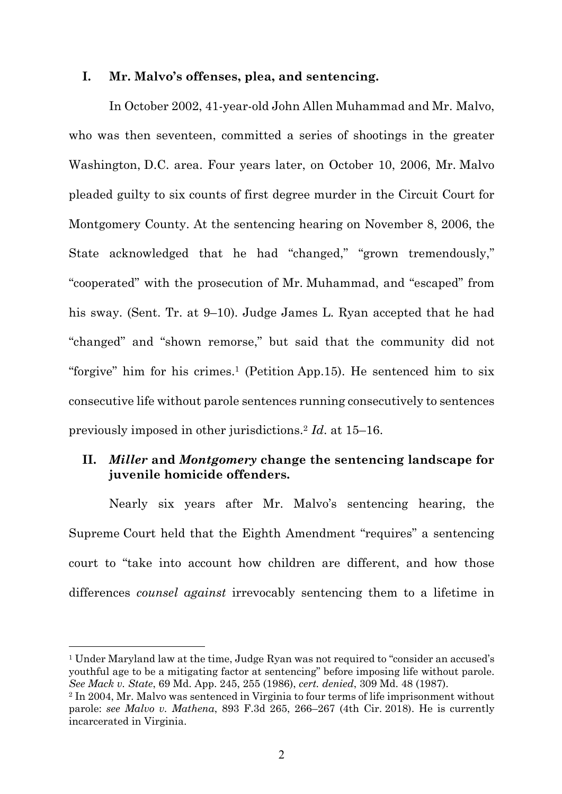#### **I. Mr. Malvo's offenses, plea, and sentencing.**

In October 2002, 41-year-old John Allen Muhammad and Mr. Malvo, who was then seventeen, committed a series of shootings in the greater Washington, D.C. area. Four years later, on October 10, 2006, Mr. Malvo pleaded guilty to six counts of first degree murder in the Circuit Court for Montgomery County. At the sentencing hearing on November 8, 2006, the State acknowledged that he had "changed," "grown tremendously," "cooperated" with the prosecution of Mr. Muhammad, and "escaped" from his sway. (Sent. Tr. at 9–10). Judge James L. Ryan accepted that he had "changed" and "shown remorse," but said that the community did not "forgive" him for his crimes.<sup>1</sup> (Petition App.15). He sentenced him to six consecutive life without parole sentences running consecutively to sentences previously imposed in other jurisdictions.2 *Id*. at 15–16.

## **II.** *Miller* **and** *Montgomery* **change the sentencing landscape for juvenile homicide offenders.**

Nearly six years after Mr. Malvo's sentencing hearing, the Supreme Court held that the Eighth Amendment "requires" a sentencing court to "take into account how children are different, and how those differences *counsel against* irrevocably sentencing them to a lifetime in

<sup>1</sup> Under Maryland law at the time, Judge Ryan was not required to "consider an accused's youthful age to be a mitigating factor at sentencing" before imposing life without parole. *See Mack v. State*, 69 Md. App. 245, 255 (1986), *cert. denied*, 309 Md. 48 (1987).

<sup>&</sup>lt;sup>2</sup> In 2004, Mr. Malvo was sentenced in Virginia to four terms of life imprisonment without parole: *see Malvo v. Mathena*, 893 F.3d 265, 266–267 (4th Cir. 2018). He is currently incarcerated in Virginia.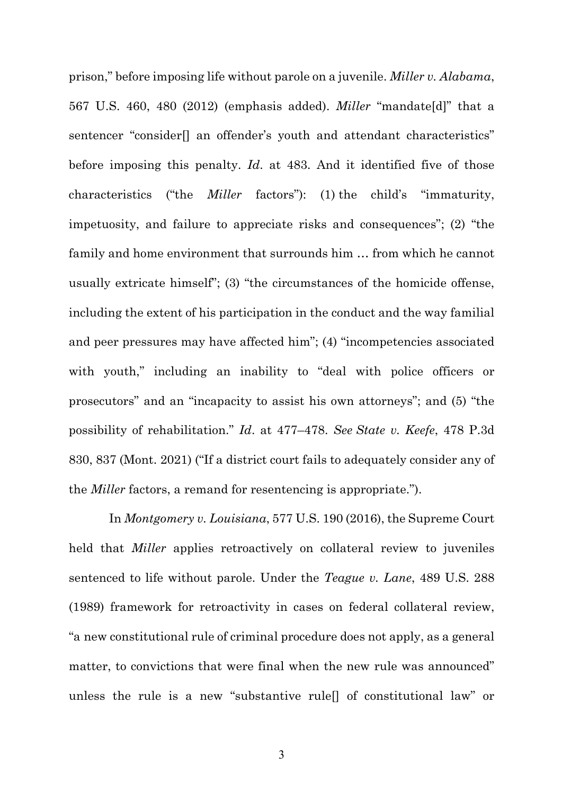prison," before imposing life without parole on a juvenile. *Miller v. Alabama*, 567 U.S. 460, 480 (2012) (emphasis added). *Miller* "mandate[d]" that a sentencer "consider<sup>[]</sup> an offender's youth and attendant characteristics" before imposing this penalty. *Id*. at 483. And it identified five of those characteristics ("the *Miller* factors"): (1) the child's "immaturity, impetuosity, and failure to appreciate risks and consequences"; (2) "the family and home environment that surrounds him … from which he cannot usually extricate himself"; (3) "the circumstances of the homicide offense, including the extent of his participation in the conduct and the way familial and peer pressures may have affected him"; (4) "incompetencies associated with youth," including an inability to "deal with police officers or prosecutors" and an "incapacity to assist his own attorneys"; and (5) "the possibility of rehabilitation." *Id*. at 477–478. *See State v. Keefe*, 478 P.3d 830, 837 (Mont. 2021) ("If a district court fails to adequately consider any of the *Miller* factors, a remand for resentencing is appropriate.").

In *Montgomery v. Louisiana*, 577 U.S. 190 (2016), the Supreme Court held that *Miller* applies retroactively on collateral review to juveniles sentenced to life without parole. Under the *Teague v. Lane*, 489 U.S. 288 (1989) framework for retroactivity in cases on federal collateral review, "a new constitutional rule of criminal procedure does not apply, as a general matter, to convictions that were final when the new rule was announced" unless the rule is a new "substantive rule[] of constitutional law" or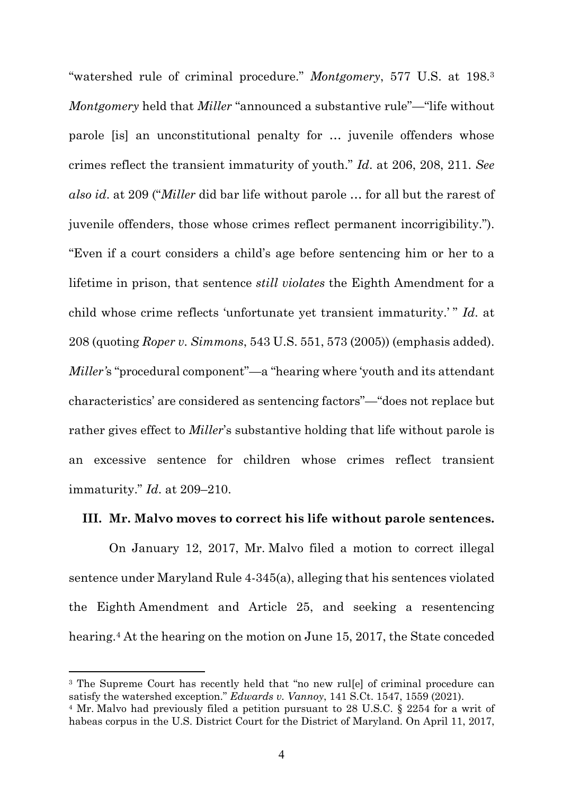"watershed rule of criminal procedure." *Montgomery*, 577 U.S. at 198.3 *Montgomery* held that *Miller* "announced a substantive rule"—"life without parole [is] an unconstitutional penalty for … juvenile offenders whose crimes reflect the transient immaturity of youth." *Id*. at 206, 208, 211. *See also id*. at 209 ("*Miller* did bar life without parole … for all but the rarest of juvenile offenders, those whose crimes reflect permanent incorrigibility."). "Even if a court considers a child's age before sentencing him or her to a lifetime in prison, that sentence *still violates* the Eighth Amendment for a child whose crime reflects 'unfortunate yet transient immaturity.' " *Id*. at 208 (quoting *Roper v. Simmons*, 543 U.S. 551, 573 (2005)) (emphasis added). *Miller'*s "procedural component"—a "hearing where 'youth and its attendant characteristics' are considered as sentencing factors"—"does not replace but rather gives effect to *Miller*'s substantive holding that life without parole is an excessive sentence for children whose crimes reflect transient immaturity." *Id*. at 209–210.

#### **III. Mr. Malvo moves to correct his life without parole sentences.**

On January 12, 2017, Mr. Malvo filed a motion to correct illegal sentence under Maryland Rule 4-345(a), alleging that his sentences violated the Eighth Amendment and Article 25, and seeking a resentencing hearing.<sup>4</sup> At the hearing on the motion on June 15, 2017, the State conceded

<sup>&</sup>lt;sup>3</sup> The Supreme Court has recently held that "no new rul[e] of criminal procedure can satisfy the watershed exception." *Edwards v. Vannoy*, 141 S.Ct. 1547, 1559 (2021).

<sup>4</sup> Mr. Malvo had previously filed a petition pursuant to 28 U.S.C. § 2254 for a writ of habeas corpus in the U.S. District Court for the District of Maryland. On April 11, 2017,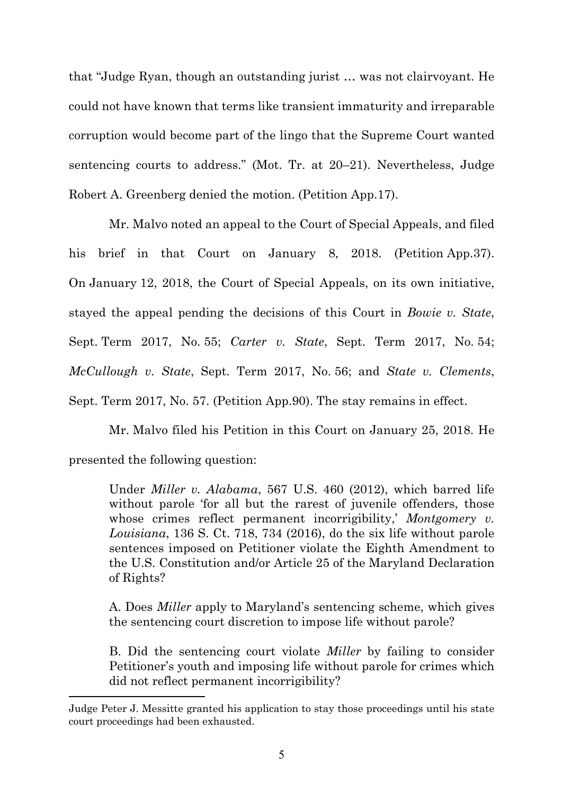that "Judge Ryan, though an outstanding jurist … was not clairvoyant. He could not have known that terms like transient immaturity and irreparable corruption would become part of the lingo that the Supreme Court wanted sentencing courts to address." (Mot. Tr. at 20–21). Nevertheless, Judge Robert A. Greenberg denied the motion. (Petition App.17).

Mr. Malvo noted an appeal to the Court of Special Appeals, and filed his brief in that Court on January 8, 2018. (Petition App. 37). On January 12, 2018, the Court of Special Appeals, on its own initiative, stayed the appeal pending the decisions of this Court in *Bowie v. State*, Sept. Term 2017, No. 55; *Carter v. State*, Sept. Term 2017, No. 54; *McCullough v. State*, Sept. Term 2017, No. 56; and *State v. Clements*, Sept. Term 2017, No. 57. (Petition App.90). The stay remains in effect.

Mr. Malvo filed his Petition in this Court on January 25, 2018. He presented the following question:

Under *Miller v. Alabama*, 567 U.S. 460 (2012), which barred life without parole 'for all but the rarest of juvenile offenders, those whose crimes reflect permanent incorrigibility,' *Montgomery v. Louisiana*, 136 S. Ct. 718, 734 (2016), do the six life without parole sentences imposed on Petitioner violate the Eighth Amendment to the U.S. Constitution and/or Article 25 of the Maryland Declaration of Rights?

A. Does *Miller* apply to Maryland's sentencing scheme, which gives the sentencing court discretion to impose life without parole?

B. Did the sentencing court violate *Miller* by failing to consider Petitioner's youth and imposing life without parole for crimes which did not reflect permanent incorrigibility?

Judge Peter J. Messitte granted his application to stay those proceedings until his state court proceedings had been exhausted.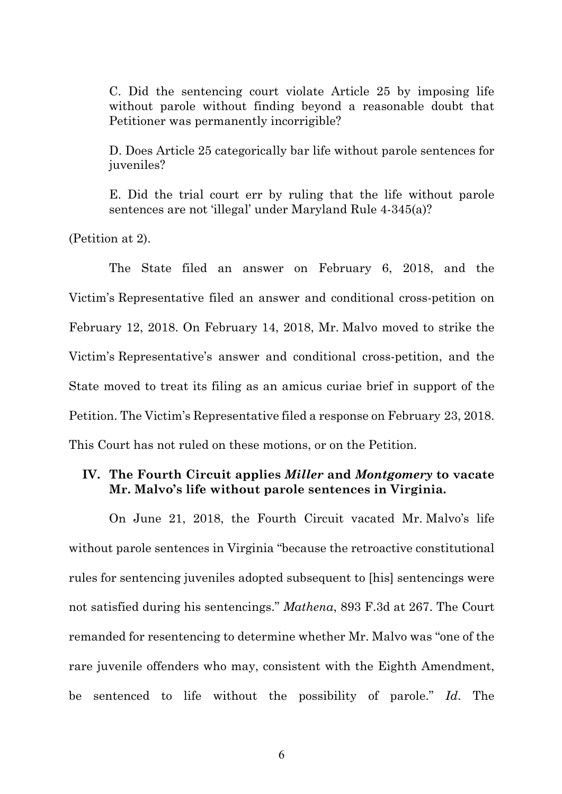C. Did the sentencing court violate Article 25 by imposing life without parole without finding beyond a reasonable doubt that Petitioner was permanently incorrigible?

D. Does Article 25 categorically bar life without parole sentences for juveniles?

E. Did the trial court err by ruling that the life without parole sentences are not 'illegal' under Maryland Rule 4-345(a)?

(Petition at 2).

The State filed an answer on February 6, 2018, and the Victim's Representative filed an answer and conditional cross-petition on February 12, 2018. On February 14, 2018, Mr. Malvo moved to strike the Victim's Representative's answer and conditional cross-petition, and the State moved to treat its filing as an amicus curiae brief in support of the Petition. The Victim's Representative filed a response on February 23, 2018. This Court has not ruled on these motions, or on the Petition.

### **IV. The Fourth Circuit applies** *Miller* **and** *Montgomery* **to vacate Mr. Malvo's life without parole sentences in Virginia.**

On June 21, 2018, the Fourth Circuit vacated Mr. Malvo's life without parole sentences in Virginia "because the retroactive constitutional rules for sentencing juveniles adopted subsequent to [his] sentencings were not satisfied during his sentencings." *Mathena*, 893 F.3d at 267. The Court remanded for resentencing to determine whether Mr. Malvo was "one of the rare juvenile offenders who may, consistent with the Eighth Amendment, be sentenced to life without the possibility of parole." *Id*. The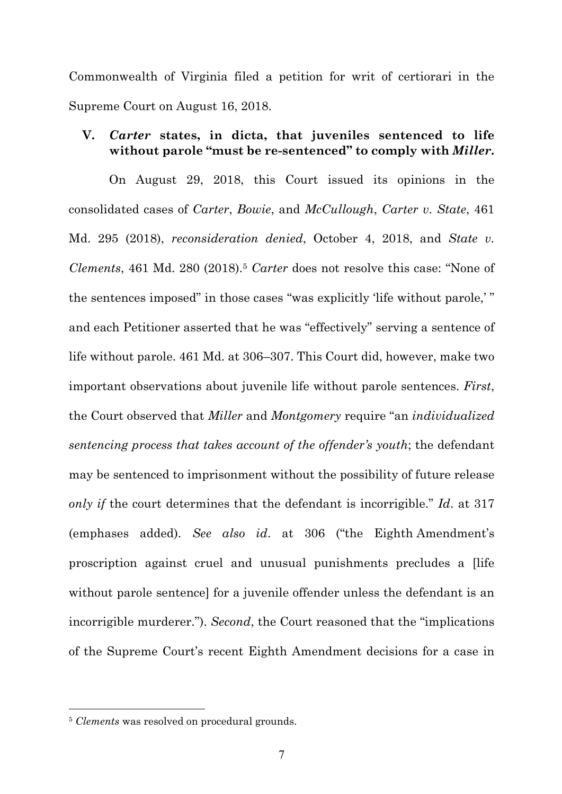Commonwealth of Virginia filed a petition for writ of certiorari in the Supreme Court on August 16, 2018.

#### **V.** *Carter* **states, in dicta, that juveniles sentenced to life without parole "must be re-sentenced" to comply with** *Miller***.**

On August 29, 2018, this Court issued its opinions in the consolidated cases of *Carter*, *Bowie*, and *McCullough*, *Carter v. State*, 461 Md. 295 (2018), *reconsideration denied*, October 4, 2018, and *State v. Clements*, 461 Md. 280 (2018).5 *Carter* does not resolve this case: "None of the sentences imposed" in those cases "was explicitly 'life without parole,' " and each Petitioner asserted that he was "effectively" serving a sentence of life without parole. 461 Md. at 306–307. This Court did, however, make two important observations about juvenile life without parole sentences. *First*, the Court observed that *Miller* and *Montgomery* require "an *individualized sentencing process that takes account of the offender's youth*; the defendant may be sentenced to imprisonment without the possibility of future release *only if* the court determines that the defendant is incorrigible." *Id*. at 317 (emphases added). *See also id*. at 306 ("the Eighth Amendment's proscription against cruel and unusual punishments precludes a [life without parole sentence] for a juvenile offender unless the defendant is an incorrigible murderer."). *Second*, the Court reasoned that the "implications of the Supreme Court's recent Eighth Amendment decisions for a case in

<sup>5</sup> *Clements* was resolved on procedural grounds.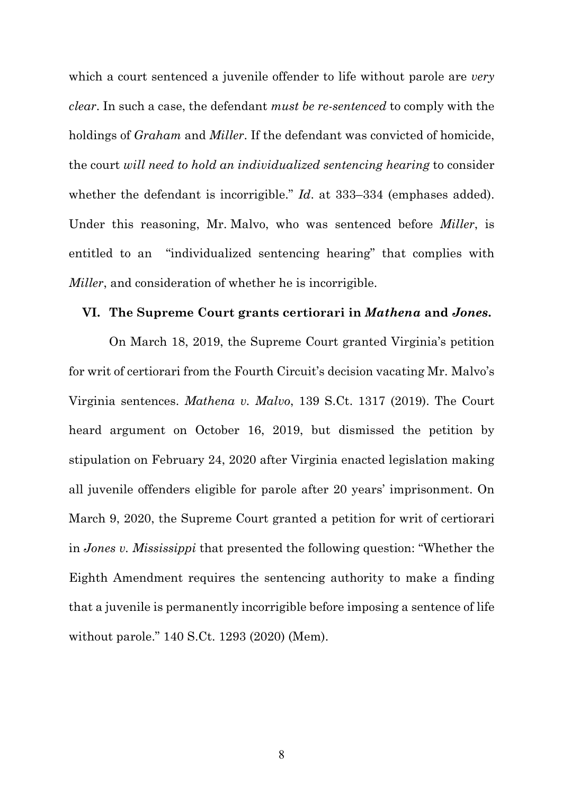which a court sentenced a juvenile offender to life without parole are *very clear*. In such a case, the defendant *must be re-sentenced* to comply with the holdings of *Graham* and *Miller*. If the defendant was convicted of homicide, the court *will need to hold an individualized sentencing hearing* to consider whether the defendant is incorrigible." *Id*. at 333–334 (emphases added). Under this reasoning, Mr. Malvo, who was sentenced before *Miller*, is entitled to an "individualized sentencing hearing" that complies with *Miller*, and consideration of whether he is incorrigible.

#### **VI. The Supreme Court grants certiorari in** *Mathena* **and** *Jones***.**

On March 18, 2019, the Supreme Court granted Virginia's petition for writ of certiorari from the Fourth Circuit's decision vacating Mr. Malvo's Virginia sentences. *Mathena v. Malvo*, 139 S.Ct. 1317 (2019). The Court heard argument on October 16, 2019, but dismissed the petition by stipulation on February 24, 2020 after Virginia enacted legislation making all juvenile offenders eligible for parole after 20 years' imprisonment. On March 9, 2020, the Supreme Court granted a petition for writ of certiorari in *Jones v. Mississippi* that presented the following question: "Whether the Eighth Amendment requires the sentencing authority to make a finding that a juvenile is permanently incorrigible before imposing a sentence of life without parole." 140 S.Ct. 1293 (2020) (Mem).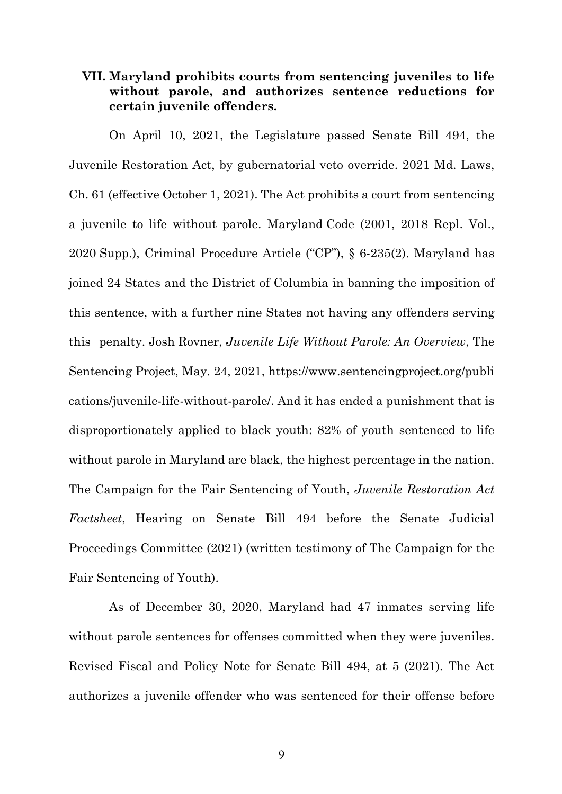#### **VII. Maryland prohibits courts from sentencing juveniles to life without parole, and authorizes sentence reductions for certain juvenile offenders.**

On April 10, 2021, the Legislature passed Senate Bill 494, the Juvenile Restoration Act, by gubernatorial veto override. 2021 Md. Laws, Ch. 61 (effective October 1, 2021). The Act prohibits a court from sentencing a juvenile to life without parole. Maryland Code (2001, 2018 Repl. Vol., 2020 Supp.), Criminal Procedure Article ("CP"), § 6-235(2). Maryland has joined 24 States and the District of Columbia in banning the imposition of this sentence, with a further nine States not having any offenders serving this penalty. Josh Rovner, *Juvenile Life Without Parole: An Overview*, The Sentencing Project, May. 24, 2021, https://www.sentencingproject.org/publi cations/juvenile-life-without-parole/. And it has ended a punishment that is disproportionately applied to black youth: 82% of youth sentenced to life without parole in Maryland are black, the highest percentage in the nation. The Campaign for the Fair Sentencing of Youth, *Juvenile Restoration Act Factsheet*, Hearing on Senate Bill 494 before the Senate Judicial Proceedings Committee (2021) (written testimony of The Campaign for the Fair Sentencing of Youth).

As of December 30, 2020, Maryland had 47 inmates serving life without parole sentences for offenses committed when they were juveniles. Revised Fiscal and Policy Note for Senate Bill 494, at 5 (2021). The Act authorizes a juvenile offender who was sentenced for their offense before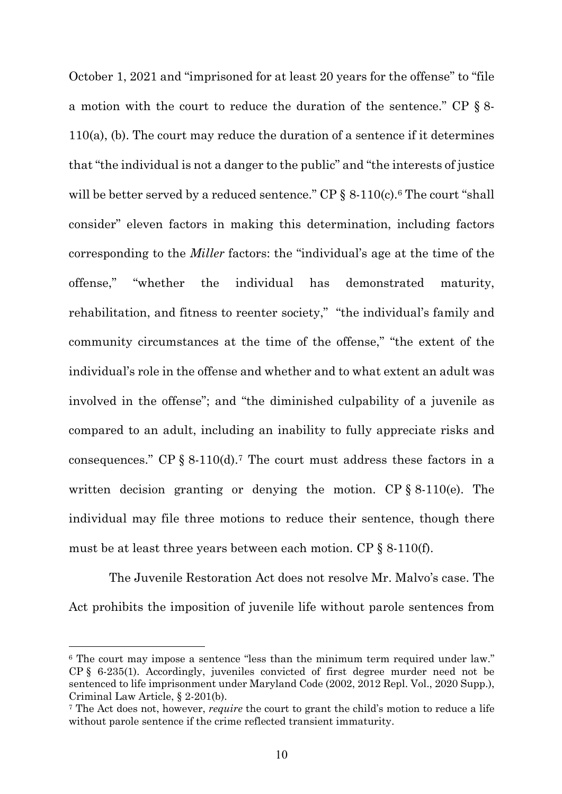October 1, 2021 and "imprisoned for at least 20 years for the offense" to "file a motion with the court to reduce the duration of the sentence." CP § 8- 110(a), (b). The court may reduce the duration of a sentence if it determines that "the individual is not a danger to the public" and "the interests of justice will be better served by a reduced sentence." CP  $\S$  8-110(c).<sup>6</sup> The court "shall consider" eleven factors in making this determination, including factors corresponding to the *Miller* factors: the "individual's age at the time of the offense," "whether the individual has demonstrated maturity, rehabilitation, and fitness to reenter society," "the individual's family and community circumstances at the time of the offense," "the extent of the individual's role in the offense and whether and to what extent an adult was involved in the offense"; and "the diminished culpability of a juvenile as compared to an adult, including an inability to fully appreciate risks and consequences." CP  $\S$  8-110(d).<sup>7</sup> The court must address these factors in a written decision granting or denying the motion. CP § 8-110(e). The individual may file three motions to reduce their sentence, though there must be at least three years between each motion. CP § 8-110(f).

The Juvenile Restoration Act does not resolve Mr. Malvo's case. The Act prohibits the imposition of juvenile life without parole sentences from

<sup>6</sup> The court may impose a sentence "less than the minimum term required under law." CP § 6-235(1). Accordingly, juveniles convicted of first degree murder need not be sentenced to life imprisonment under Maryland Code (2002, 2012 Repl. Vol., 2020 Supp.), Criminal Law Article, § 2-201(b).

<sup>7</sup> The Act does not, however, *require* the court to grant the child's motion to reduce a life without parole sentence if the crime reflected transient immaturity.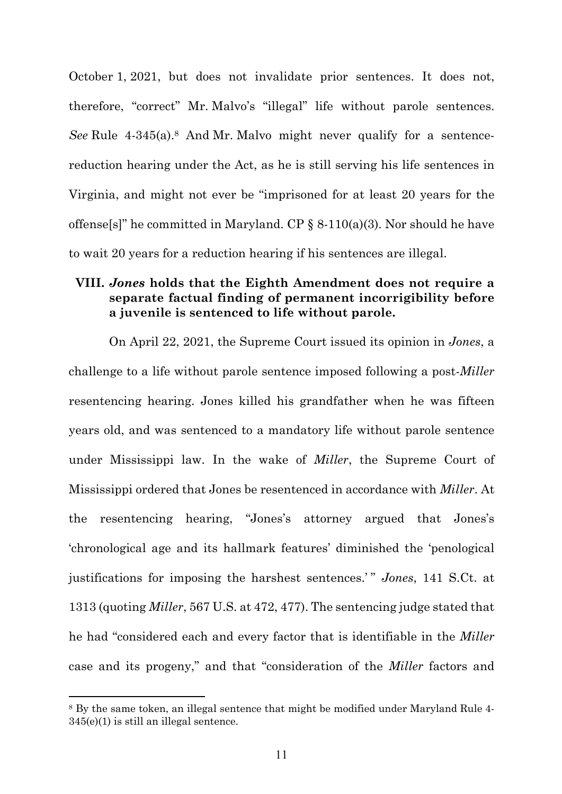October 1, 2021, but does not invalidate prior sentences. It does not, therefore, "correct" Mr. Malvo's "illegal" life without parole sentences. *See* Rule 4-345(a).<sup>8</sup> And Mr. Malvo might never qualify for a sentencereduction hearing under the Act, as he is still serving his life sentences in Virginia, and might not ever be "imprisoned for at least 20 years for the offense[s]" he committed in Maryland. CP  $\S$  8-110(a)(3). Nor should he have to wait 20 years for a reduction hearing if his sentences are illegal.

## **VIII.** *Jones* **holds that the Eighth Amendment does not require a separate factual finding of permanent incorrigibility before a juvenile is sentenced to life without parole.**

On April 22, 2021, the Supreme Court issued its opinion in *Jones*, a challenge to a life without parole sentence imposed following a post-*Miller*  resentencing hearing. Jones killed his grandfather when he was fifteen years old, and was sentenced to a mandatory life without parole sentence under Mississippi law. In the wake of *Miller*, the Supreme Court of Mississippi ordered that Jones be resentenced in accordance with *Miller*. At the resentencing hearing, "Jones's attorney argued that Jones's 'chronological age and its hallmark features' diminished the 'penological justifications for imposing the harshest sentences.' " *Jones*, 141 S.Ct. at 1313 (quoting *Miller*, 567 U.S. at 472, 477). The sentencing judge stated that he had "considered each and every factor that is identifiable in the *Miller* case and its progeny," and that "consideration of the *Miller* factors and

<sup>8</sup> By the same token, an illegal sentence that might be modified under Maryland Rule 4- 345(e)(1) is still an illegal sentence.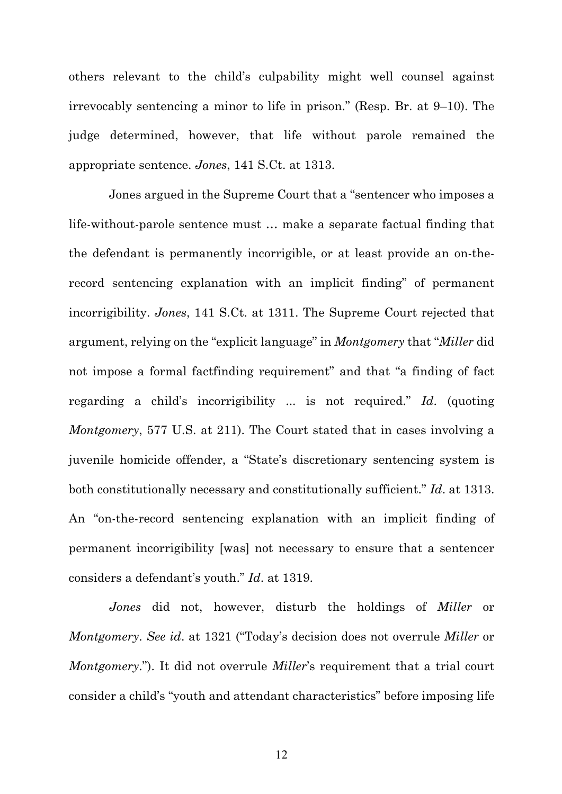others relevant to the child's culpability might well counsel against irrevocably sentencing a minor to life in prison." (Resp. Br. at 9–10). The judge determined, however, that life without parole remained the appropriate sentence. *Jones*, 141 S.Ct. at 1313.

Jones argued in the Supreme Court that a "sentencer who imposes a life-without-parole sentence must … make a separate factual finding that the defendant is permanently incorrigible, or at least provide an on-therecord sentencing explanation with an implicit finding" of permanent incorrigibility. *Jones*, 141 S.Ct. at 1311. The Supreme Court rejected that argument, relying on the "explicit language" in *Montgomery* that "*Miller* did not impose a formal factfinding requirement" and that "a finding of fact regarding a child's incorrigibility ... is not required." *Id*. (quoting *Montgomery*, 577 U.S. at 211). The Court stated that in cases involving a juvenile homicide offender, a "State's discretionary sentencing system is both constitutionally necessary and constitutionally sufficient." *Id*. at 1313. An "on-the-record sentencing explanation with an implicit finding of permanent incorrigibility [was] not necessary to ensure that a sentencer considers a defendant's youth." *Id*. at 1319.

*Jones* did not, however, disturb the holdings of *Miller* or *Montgomery*. *See id*. at 1321 ("Today's decision does not overrule *Miller* or *Montgomery*."). It did not overrule *Miller*'s requirement that a trial court consider a child's "youth and attendant characteristics" before imposing life

12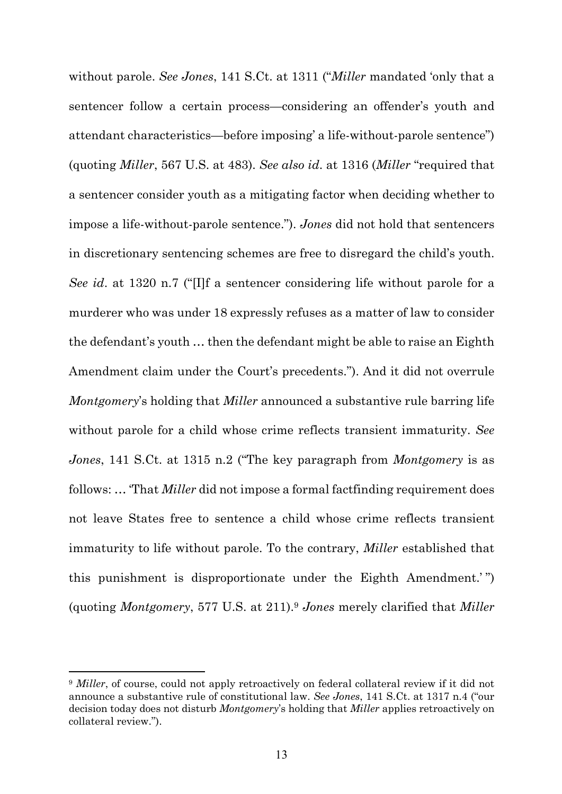without parole. *See Jones*, 141 S.Ct. at 1311 ("*Miller* mandated 'only that a sentencer follow a certain process—considering an offender's youth and attendant characteristics—before imposing' a life-without-parole sentence") (quoting *Miller*, 567 U.S. at 483). *See also id*. at 1316 (*Miller* "required that a sentencer consider youth as a mitigating factor when deciding whether to impose a life-without-parole sentence."). *Jones* did not hold that sentencers in discretionary sentencing schemes are free to disregard the child's youth. *See id*. at 1320 n.7 ("[I]f a sentencer considering life without parole for a murderer who was under 18 expressly refuses as a matter of law to consider the defendant's youth … then the defendant might be able to raise an Eighth Amendment claim under the Court's precedents."). And it did not overrule *Montgomery*'s holding that *Miller* announced a substantive rule barring life without parole for a child whose crime reflects transient immaturity. *See Jones*, 141 S.Ct. at 1315 n.2 ("The key paragraph from *Montgomery* is as follows: … 'That *Miller* did not impose a formal factfinding requirement does not leave States free to sentence a child whose crime reflects transient immaturity to life without parole. To the contrary, *Miller* established that this punishment is disproportionate under the Eighth Amendment.' ") (quoting *Montgomery*, 577 U.S. at 211).9 *Jones* merely clarified that *Miller*

<sup>&</sup>lt;sup>9</sup> *Miller*, of course, could not apply retroactively on federal collateral review if it did not announce a substantive rule of constitutional law. *See Jones*, 141 S.Ct. at 1317 n.4 ("our decision today does not disturb *Montgomery*'s holding that *Miller* applies retroactively on collateral review.").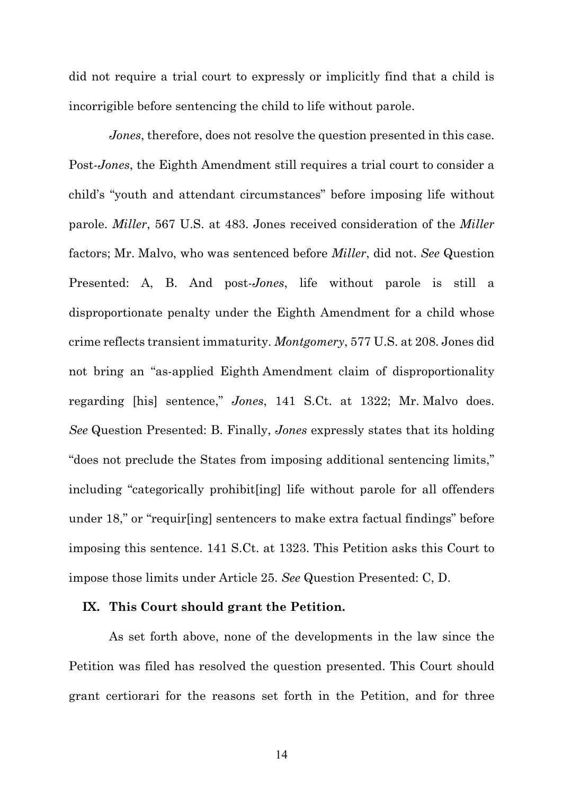did not require a trial court to expressly or implicitly find that a child is incorrigible before sentencing the child to life without parole.

*Jones*, therefore, does not resolve the question presented in this case. Post-*Jones*, the Eighth Amendment still requires a trial court to consider a child's "youth and attendant circumstances" before imposing life without parole. *Miller*, 567 U.S. at 483. Jones received consideration of the *Miller* factors; Mr. Malvo, who was sentenced before *Miller*, did not. *See* Question Presented: A, B. And post-*Jones*, life without parole is still a disproportionate penalty under the Eighth Amendment for a child whose crime reflects transient immaturity. *Montgomery*, 577 U.S. at 208. Jones did not bring an "as-applied Eighth Amendment claim of disproportionality regarding [his] sentence," *Jones*, 141 S.Ct. at 1322; Mr. Malvo does. *See* Question Presented: B. Finally, *Jones* expressly states that its holding "does not preclude the States from imposing additional sentencing limits," including "categorically prohibit[ing] life without parole for all offenders under 18," or "requir[ing] sentencers to make extra factual findings" before imposing this sentence. 141 S.Ct. at 1323. This Petition asks this Court to impose those limits under Article 25. *See* Question Presented: C, D.

#### **IX. This Court should grant the Petition.**

As set forth above, none of the developments in the law since the Petition was filed has resolved the question presented. This Court should grant certiorari for the reasons set forth in the Petition, and for three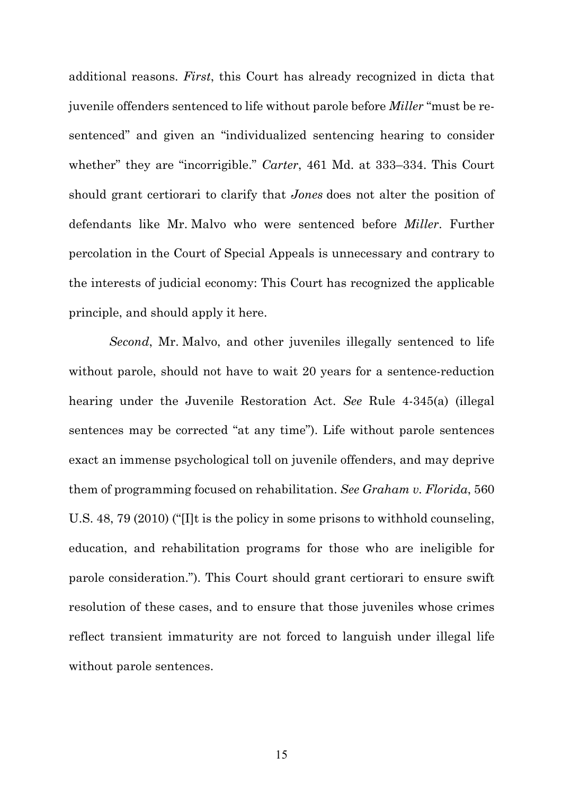additional reasons. *First*, this Court has already recognized in dicta that juvenile offenders sentenced to life without parole before *Miller* "must be resentenced" and given an "individualized sentencing hearing to consider whether" they are "incorrigible." *Carter*, 461 Md. at 333–334. This Court should grant certiorari to clarify that *Jones* does not alter the position of defendants like Mr. Malvo who were sentenced before *Miller*. Further percolation in the Court of Special Appeals is unnecessary and contrary to the interests of judicial economy: This Court has recognized the applicable principle, and should apply it here.

*Second*, Mr. Malvo, and other juveniles illegally sentenced to life without parole, should not have to wait 20 years for a sentence-reduction hearing under the Juvenile Restoration Act. *See* Rule 4-345(a) (illegal sentences may be corrected "at any time"). Life without parole sentences exact an immense psychological toll on juvenile offenders, and may deprive them of programming focused on rehabilitation. *See Graham v. Florida*, 560 U.S. 48, 79 (2010) ("[I]t is the policy in some prisons to withhold counseling, education, and rehabilitation programs for those who are ineligible for parole consideration."). This Court should grant certiorari to ensure swift resolution of these cases, and to ensure that those juveniles whose crimes reflect transient immaturity are not forced to languish under illegal life without parole sentences.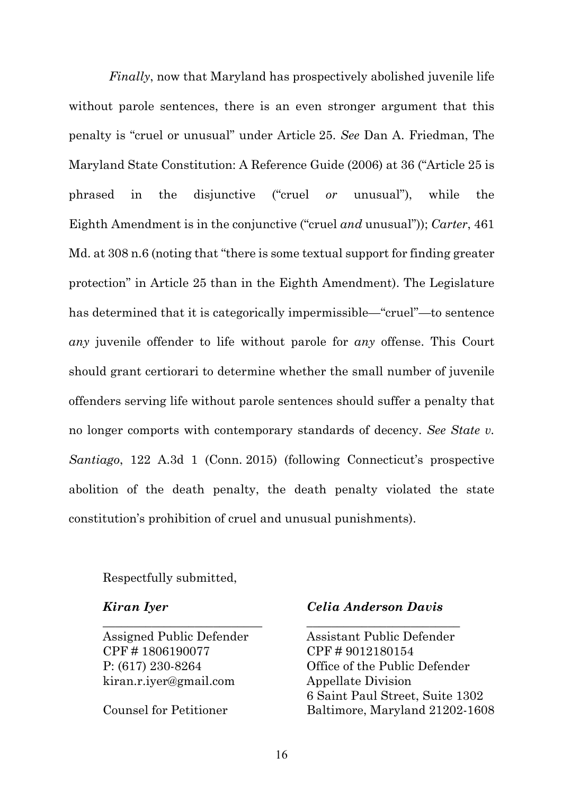*Finally*, now that Maryland has prospectively abolished juvenile life without parole sentences, there is an even stronger argument that this penalty is "cruel or unusual" under Article 25. *See* Dan A. Friedman, The Maryland State Constitution: A Reference Guide (2006) at 36 ("Article 25 is phrased in the disjunctive ("cruel *or* unusual"), while the Eighth Amendment is in the conjunctive ("cruel *and* unusual")); *Carter*, 461 Md. at  $308 \text{ n}$ .6 (noting that "there is some textual support for finding greater protection" in Article 25 than in the Eighth Amendment). The Legislature has determined that it is categorically impermissible—"cruel"—to sentence *any* juvenile offender to life without parole for *any* offense. This Court should grant certiorari to determine whether the small number of juvenile offenders serving life without parole sentences should suffer a penalty that no longer comports with contemporary standards of decency. *See State v. Santiago*, 122 A.3d 1 (Conn. 2015) (following Connecticut's prospective abolition of the death penalty, the death penalty violated the state constitution's prohibition of cruel and unusual punishments).

#### Respectfully submitted,

CPF # 1806190077 CPF # 9012180154 kiran.r.iyer@gmail.com Appellate Division

#### *Kiran Iyer Celia Anderson Davis*

Assigned Public Defender Assistant Public Defender P: (617) 230-8264 Office of the Public Defender 6 Saint Paul Street, Suite 1302 Counsel for Petitioner Baltimore, Maryland 21202-1608

\_\_\_\_\_\_\_\_\_\_\_\_\_\_\_\_\_\_\_\_\_\_\_\_\_\_ \_\_\_\_\_\_\_\_\_\_\_\_\_\_\_\_\_\_\_\_\_\_\_\_\_